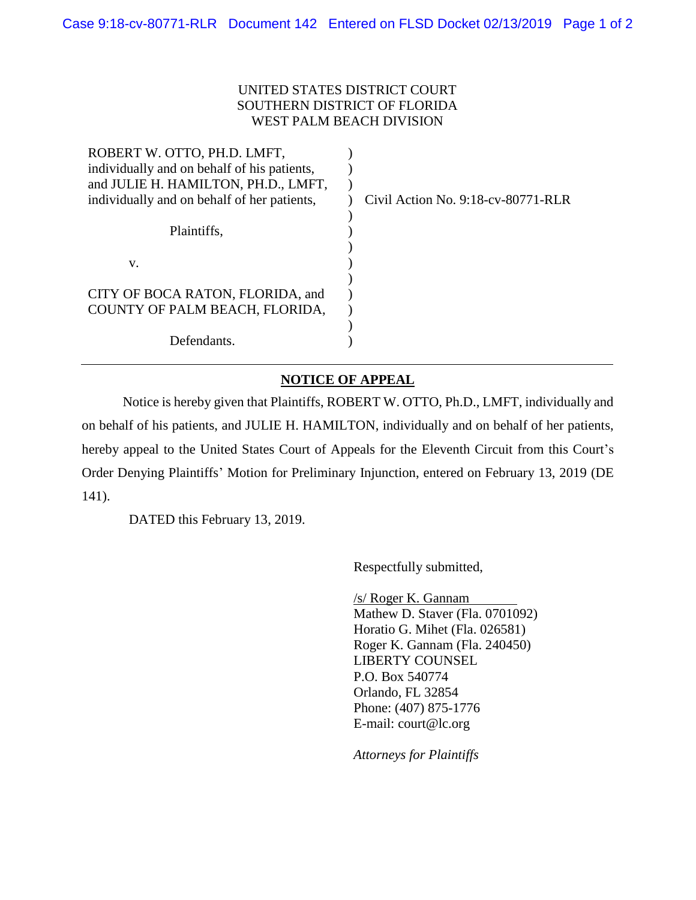## UNITED STATES DISTRICT COURT SOUTHERN DISTRICT OF FLORIDA WEST PALM BEACH DIVISION

| Civil Action No. $9:18$ -cv-80771-RLR |
|---------------------------------------|
|                                       |
|                                       |
|                                       |
|                                       |
|                                       |
|                                       |
|                                       |
|                                       |
|                                       |
|                                       |

## **NOTICE OF APPEAL**

Notice is hereby given that Plaintiffs, ROBERT W. OTTO, Ph.D., LMFT, individually and on behalf of his patients, and JULIE H. HAMILTON, individually and on behalf of her patients, hereby appeal to the United States Court of Appeals for the Eleventh Circuit from this Court's Order Denying Plaintiffs' Motion for Preliminary Injunction, entered on February 13, 2019 (DE 141).

DATED this February 13, 2019.

Respectfully submitted,

/s/ Roger K. Gannam Mathew D. Staver (Fla. 0701092) Horatio G. Mihet (Fla. 026581) Roger K. Gannam (Fla. 240450) LIBERTY COUNSEL P.O. Box 540774 Orlando, FL 32854 Phone: (407) 875-1776 E-mail: court@lc.org

*Attorneys for Plaintiffs*